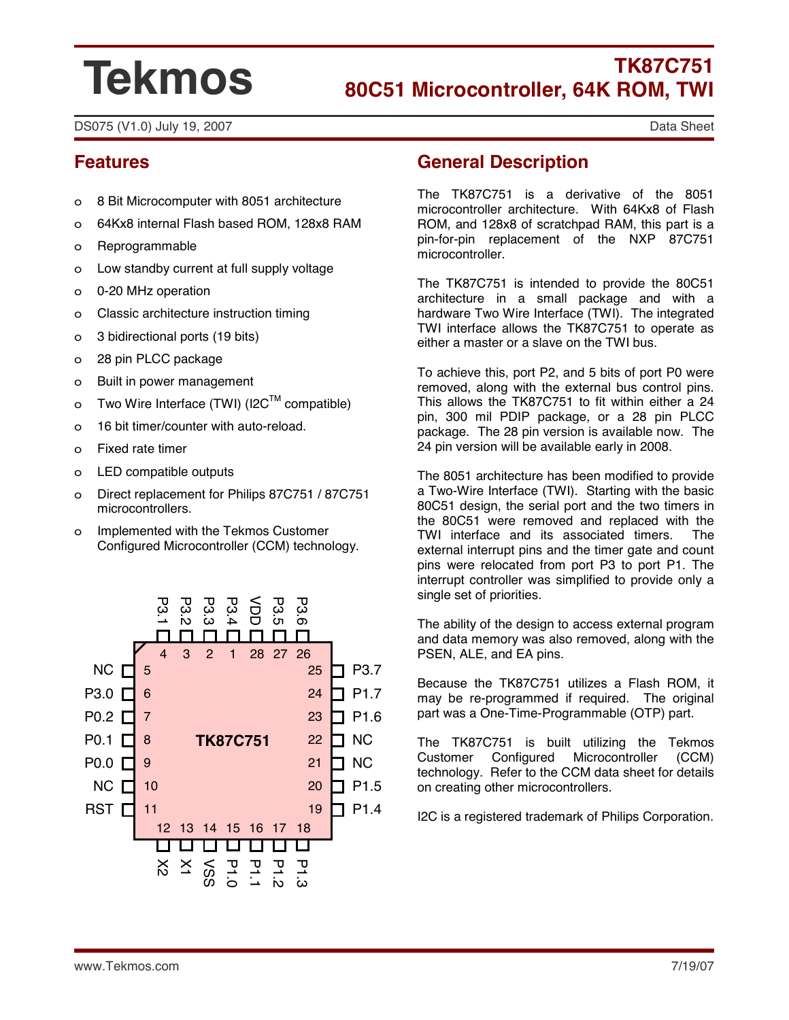# **Tekmos**

## **TK87C751 80C51 Microcontroller, 64K ROM, TWI**

DS075 (V1.0) July 19, 2007 Data Sheet

## **Features**

- o 8 Bit Microcomputer with 8051 architecture
- o 64Kx8 internal Flash based ROM, 128x8 RAM
- o Reprogrammable
- o Low standby current at full supply voltage
- o 0-20 MHz operation
- o Classic architecture instruction timing
- o 3 bidirectional ports (19 bits)
- o 28 pin PLCC package
- o Built in power management
- o Two Wire Interface (TWI) (I2C<sup>TM</sup> compatible)
- o 16 bit timer/counter with auto-reload.
- o Fixed rate timer
- o LED compatible outputs
- o Direct replacement for Philips 87C751 / 87C751 microcontrollers.
- o Implemented with the Tekmos Customer Configured Microcontroller (CCM) technology.



## **General Description**

The TK87C751 is a derivative of the 8051 microcontroller architecture. With 64Kx8 of Flash ROM, and 128x8 of scratchpad RAM, this part is a pin-for-pin replacement of the NXP 87C751 microcontroller.

The TK87C751 is intended to provide the 80C51 architecture in a small package and with a hardware Two Wire Interface (TWI). The integrated TWI interface allows the TK87C751 to operate as either a master or a slave on the TWI bus.

To achieve this, port P2, and 5 bits of port P0 were removed, along with the external bus control pins. This allows the TK87C751 to fit within either a 24 pin, 300 mil PDIP package, or a 28 pin PLCC package. The 28 pin version is available now. The 24 pin version will be available early in 2008.

The 8051 architecture has been modified to provide a Two-Wire Interface (TWI). Starting with the basic 80C51 design, the serial port and the two timers in the 80C51 were removed and replaced with the TWI interface and its associated timers. The external interrupt pins and the timer gate and count pins were relocated from port P3 to port P1. The interrupt controller was simplified to provide only a single set of priorities.

The ability of the design to access external program and data memory was also removed, along with the PSEN, ALE, and EA pins.

Because the TK87C751 utilizes a Flash ROM, it may be re-programmed if required. The original part was a One-Time-Programmable (OTP) part.

The TK87C751 is built utilizing the Tekmos Customer Configured Microcontroller (CCM) technology. Refer to the CCM data sheet for details on creating other microcontrollers.

I2C is a registered trademark of Philips Corporation.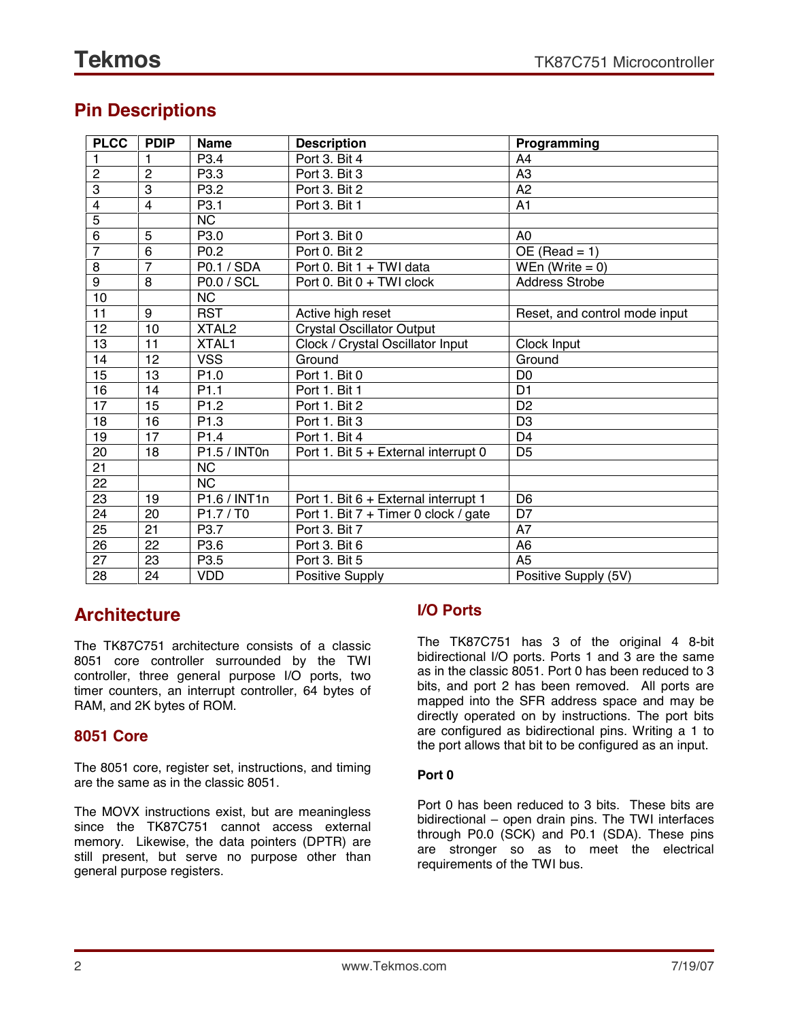## **Pin Descriptions**

| <b>PLCC</b>    | <b>PDIP</b>    | <b>Name</b>                      | <b>Description</b>                      | Programming                   |
|----------------|----------------|----------------------------------|-----------------------------------------|-------------------------------|
|                | 1              | P <sub>3.4</sub>                 | Port 3. Bit 4                           | A <sub>4</sub>                |
| $\overline{c}$ | $\overline{2}$ | P3.3                             | Port 3. Bit 3                           | A <sub>3</sub>                |
| 3              | $\overline{3}$ | P3.2                             | Port 3. Bit 2                           | A2                            |
| 4              | $\overline{4}$ | P <sub>3.1</sub>                 | Port 3. Bit 1                           | A <sub>1</sub>                |
| 5              |                | <b>NC</b>                        |                                         |                               |
| 6              | 5              | P3.0                             | Port 3. Bit 0                           | A <sub>0</sub>                |
| $\overline{7}$ | 6              | P <sub>0.2</sub>                 | Port 0. Bit 2                           | $OE (Read = 1)$               |
| 8              | $\overline{7}$ | P0.1 / SDA                       | Port 0. Bit 1 + TWI data                | WEn (Write $= 0$ )            |
| $\overline{9}$ | 8              | <b>P0.0 / SCL</b>                | Port 0. Bit 0 + TWI clock               | <b>Address Strobe</b>         |
| 10             |                | <b>NC</b>                        |                                         |                               |
| 11             | 9              | <b>RST</b>                       | Active high reset                       | Reset, and control mode input |
| 12             | 10             | XTAL <sub>2</sub>                | <b>Crystal Oscillator Output</b>        |                               |
| 13             | 11             | XTAL1                            | Clock / Crystal Oscillator Input        | Clock Input                   |
| 14             | 12             | <b>VSS</b>                       | Ground                                  | Ground                        |
| 15             | 13             | P <sub>1.0</sub>                 | Port 1. Bit 0                           | D <sub>0</sub>                |
| 16             | 14             | P <sub>1.1</sub>                 | Port 1. Bit 1                           | D <sub>1</sub>                |
| 17             | 15             | P <sub>1.2</sub>                 | Port 1. Bit 2                           | D <sub>2</sub>                |
| 18             | 16             | P <sub>1.3</sub>                 | Port 1. Bit 3                           | D <sub>3</sub>                |
| 19             | 17             | P <sub>1.4</sub>                 | Port 1. Bit 4                           | D <sub>4</sub>                |
| 20             | 18             | P1.5 / INT0n                     | Port 1. Bit 5 + External interrupt 0    | D <sub>5</sub>                |
| 21             |                | <b>NC</b>                        |                                         |                               |
| 22             |                | <b>NC</b>                        |                                         |                               |
| 23             | 19             | P1.6 / INT1n                     | Port 1. Bit 6 + External interrupt 1    | D <sub>6</sub>                |
| 24             | 20             | P <sub>1.7</sub> /T <sub>0</sub> | Port 1. Bit 7 + Timer 0 clock / gate    | D7                            |
| 25             | 21             | P3.7                             | Port 3. Bit 7                           | A7                            |
| 26             | 22             | P3.6                             | Port 3. Bit 6                           | A <sub>6</sub>                |
| 27             | 23             | P <sub>3.5</sub>                 | Port 3. Bit 5                           | A <sub>5</sub>                |
| 28             | 24             | <b>VDD</b>                       | Positive Supply<br>Positive Supply (5V) |                               |

## **Architecture**

The TK87C751 architecture consists of a classic 8051 core controller surrounded by the TWI controller, three general purpose I/O ports, two timer counters, an interrupt controller, 64 bytes of RAM, and 2K bytes of ROM.

## **8051 Core**

The 8051 core, register set, instructions, and timing are the same as in the classic 8051.

The MOVX instructions exist, but are meaningless since the TK87C751 cannot access external memory. Likewise, the data pointers (DPTR) are still present, but serve no purpose other than general purpose registers.

## **I/O Ports**

The TK87C751 has 3 of the original 4 8-bit bidirectional I/O ports. Ports 1 and 3 are the same as in the classic 8051. Port 0 has been reduced to 3 bits, and port 2 has been removed. All ports are mapped into the SFR address space and may be directly operated on by instructions. The port bits are configured as bidirectional pins. Writing a 1 to the port allows that bit to be configured as an input.

#### **Port 0**

Port 0 has been reduced to 3 bits. These bits are bidirectional  $-$  open drain pins. The TWI interfaces through P0.0 (SCK) and P0.1 (SDA). These pins are stronger so as to meet the electrical requirements of the TWI bus.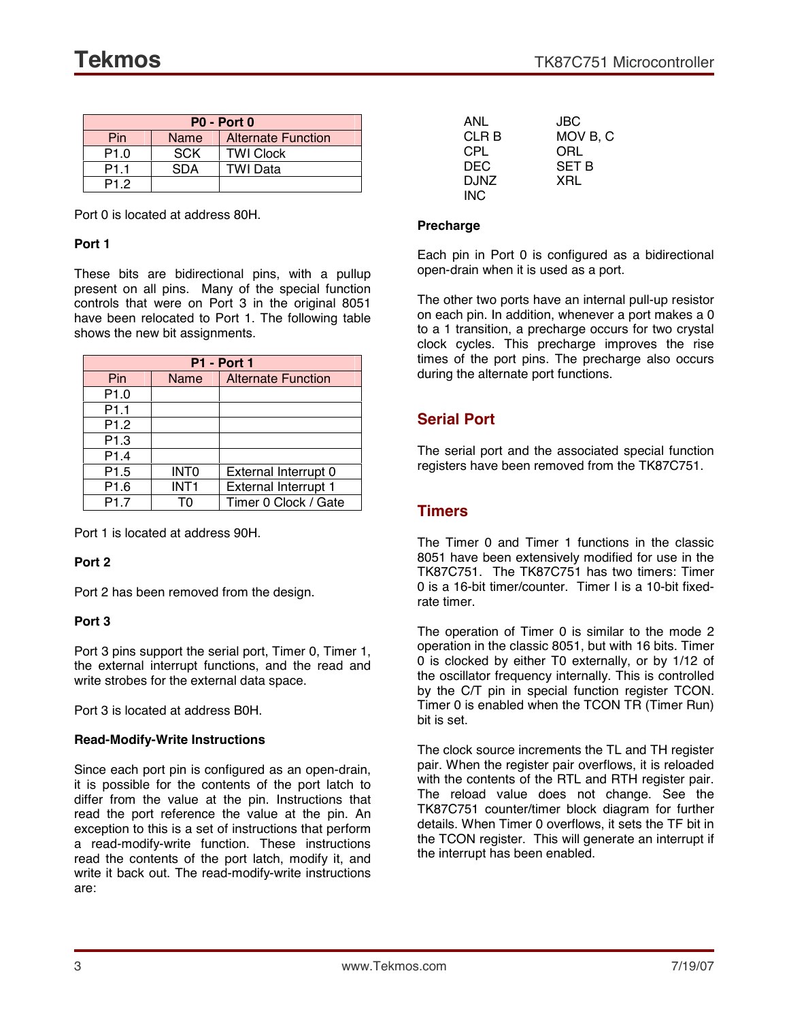| $PO - Port O$    |            |                           |  |
|------------------|------------|---------------------------|--|
| Pin              | Name       | <b>Alternate Function</b> |  |
| P1.0             | <b>SCK</b> | <b>TWI Clock</b>          |  |
| P <sub>1.1</sub> | SDA        | <b>TWI Data</b>           |  |
| P <sub>12</sub>  |            |                           |  |

Port 0 is located at address 80H.

#### **Port 1**

These bits are bidirectional pins, with a pullup present on all pins. Many of the special function controls that were on Port 3 in the original 8051 have been relocated to Port 1. The following table shows the new bit assignments.

| <b>P1 - Port 1</b> |                  |                             |  |
|--------------------|------------------|-----------------------------|--|
| Pin                | Name             | <b>Alternate Function</b>   |  |
| P <sub>1.0</sub>   |                  |                             |  |
| P <sub>1.1</sub>   |                  |                             |  |
| P <sub>1.2</sub>   |                  |                             |  |
| P <sub>1.3</sub>   |                  |                             |  |
| P <sub>1.4</sub>   |                  |                             |  |
| P <sub>1.5</sub>   | <b>INTO</b>      | External Interrupt 0        |  |
| P <sub>1.6</sub>   | INT <sub>1</sub> | <b>External Interrupt 1</b> |  |
| P1.7               | т٥               | Timer 0 Clock / Gate        |  |

Port 1 is located at address 90H.

#### **Port 2**

Port 2 has been removed from the design.

#### **Port 3**

Port 3 pins support the serial port, Timer 0, Timer 1, the external interrupt functions, and the read and write strobes for the external data space.

Port 3 is located at address B0H.

#### **Read-Modify-Write Instructions**

Since each port pin is configured as an open-drain, it is possible for the contents of the port latch to differ from the value at the pin. Instructions that read the port reference the value at the pin. An exception to this is a set of instructions that perform a read-modify-write function. These instructions read the contents of the port latch, modify it, and write it back out. The read-modify-write instructions are:

| ANL   | JBC          |
|-------|--------------|
| CLR B | MOV B, C     |
| CPL   | ORL          |
| DEC   | <b>SET B</b> |
| DJNZ  | XRL          |
| INC.  |              |

#### **Precharge**

Each pin in Port 0 is configured as a bidirectional open-drain when it is used as a port.

The other two ports have an internal pull-up resistor on each pin. In addition, whenever a port makes a 0 to a 1 transition, a precharge occurs for two crystal clock cycles. This precharge improves the rise times of the port pins. The precharge also occurs during the alternate port functions.

### **Serial Port**

The serial port and the associated special function registers have been removed from the TK87C751.

#### **Timers**

The Timer 0 and Timer 1 functions in the classic 8051 have been extensively modified for use in the TK87C751. The TK87C751 has two timers: Timer 0 is a 16-bit timer/counter. Timer I is a 10-bit fixedrate timer.

The operation of Timer 0 is similar to the mode 2 operation in the classic 8051, but with 16 bits. Timer 0 is clocked by either T0 externally, or by 1/12 of the oscillator frequency internally. This is controlled by the C/T pin in special function register TCON. Timer 0 is enabled when the TCON TR (Timer Run) bit is set.

The clock source increments the TL and TH register pair. When the register pair overflows, it is reloaded with the contents of the RTL and RTH register pair. The reload value does not change. See the TK87C751 counter/timer block diagram for further details. When Timer 0 overflows, it sets the TF bit in the TCON register. This will generate an interrupt if the interrupt has been enabled.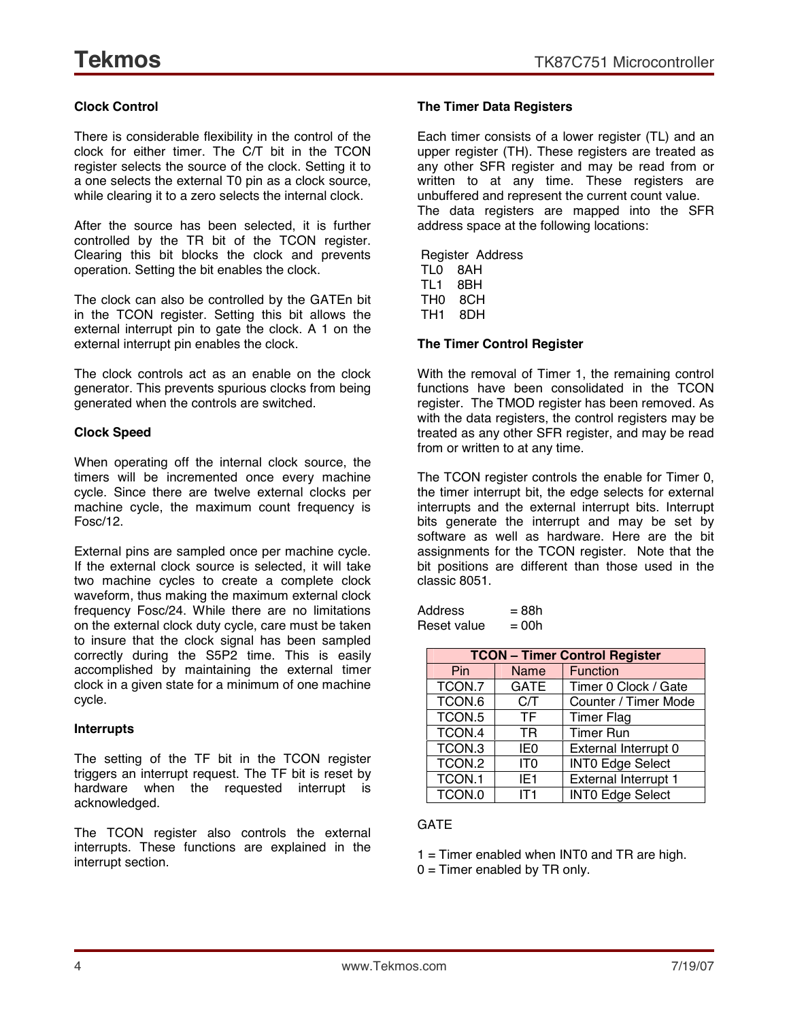#### **Clock Control**

There is considerable flexibility in the control of the clock for either timer. The C/T bit in the TCON register selects the source of the clock. Setting it to a one selects the external T0 pin as a clock source, while clearing it to a zero selects the internal clock.

After the source has been selected, it is further controlled by the TR bit of the TCON register. Clearing this bit blocks the clock and prevents operation. Setting the bit enables the clock.

The clock can also be controlled by the GATEn bit in the TCON register. Setting this bit allows the external interrupt pin to gate the clock. A 1 on the external interrupt pin enables the clock.

The clock controls act as an enable on the clock generator. This prevents spurious clocks from being generated when the controls are switched.

#### **Clock Speed**

When operating off the internal clock source, the timers will be incremented once every machine cycle. Since there are twelve external clocks per machine cycle, the maximum count frequency is Fosc/12.

External pins are sampled once per machine cycle. If the external clock source is selected, it will take two machine cycles to create a complete clock waveform, thus making the maximum external clock frequency Fosc/24. While there are no limitations on the external clock duty cycle, care must be taken to insure that the clock signal has been sampled correctly during the S5P2 time. This is easily accomplished by maintaining the external timer clock in a given state for a minimum of one machine cycle.

#### **Interrupts**

The setting of the TF bit in the TCON register triggers an interrupt request. The TF bit is reset by hardware when the requested interrupt is acknowledged.

The TCON register also controls the external interrupts. These functions are explained in the interrupt section.

#### **The Timer Data Registers**

Each timer consists of a lower register (TL) and an upper register (TH). These registers are treated as any other SFR register and may be read from or written to at any time. These registers are unbuffered and represent the current count value. The data registers are mapped into the SFR address space at the following locations:

Register Address TL0 8AH TL1 8BH TH0 8CH TH1 8DH

#### **The Timer Control Register**

With the removal of Timer 1, the remaining control functions have been consolidated in the TCON register. The TMOD register has been removed. As with the data registers, the control registers may be treated as any other SFR register, and may be read from or written to at any time.

The TCON register controls the enable for Timer 0, the timer interrupt bit, the edge selects for external interrupts and the external interrupt bits. Interrupt bits generate the interrupt and may be set by software as well as hardware. Here are the bit assignments for the TCON register. Note that the bit positions are different than those used in the classic 8051.

| Address     | = 88h   |
|-------------|---------|
| Reset value | $= 00h$ |

| <b>TCON - Timer Control Register</b> |                 |                             |  |
|--------------------------------------|-----------------|-----------------------------|--|
| Pin                                  | <b>Name</b>     | <b>Function</b>             |  |
| TCON.7                               | <b>GATE</b>     | Timer 0 Clock / Gate        |  |
| TCON.6                               | C/T             | Counter / Timer Mode        |  |
| TCON.5                               | <b>TF</b>       | <b>Timer Flag</b>           |  |
| TCON.4                               | <b>TR</b>       | <b>Timer Run</b>            |  |
| TCON.3                               | IE <sub>0</sub> | External Interrupt 0        |  |
| TCON.2                               | IT <sub>0</sub> | <b>INTO Edge Select</b>     |  |
| TCON.1                               | IE <sub>1</sub> | <b>External Interrupt 1</b> |  |
| TCON.0                               | IT1             | <b>INTO Edge Select</b>     |  |

#### **GATE**

1 = Timer enabled when INT0 and TR are high.

 $0 =$  Timer enabled by TR only.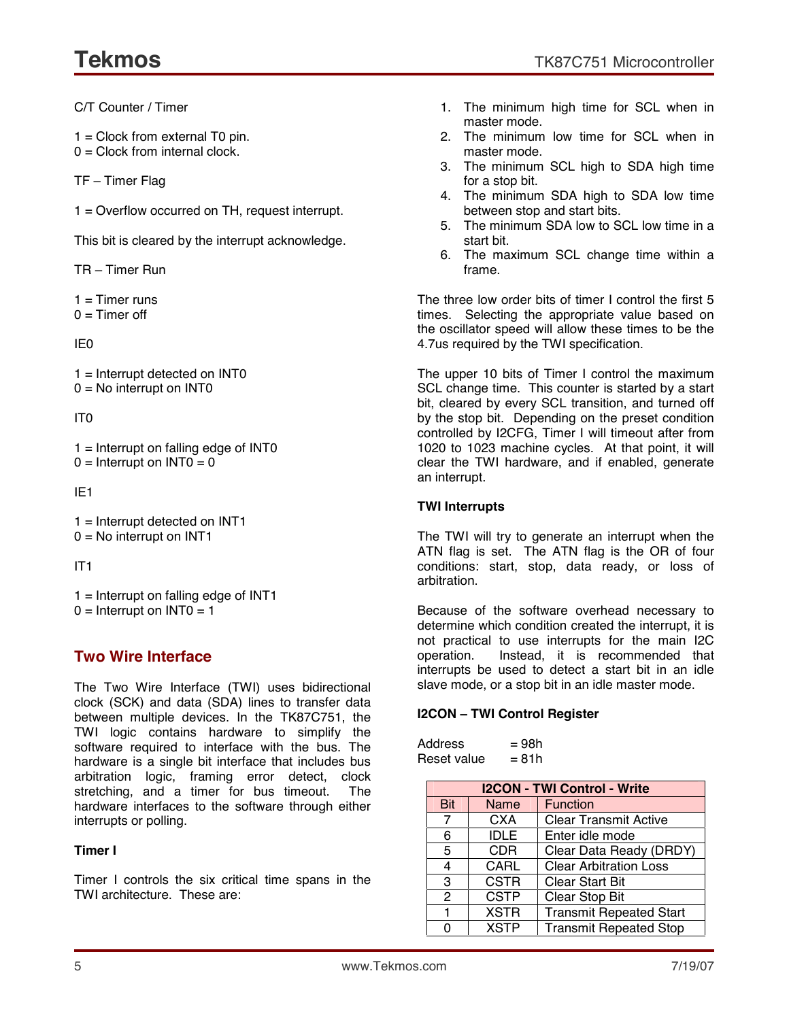C/T Counter / Timer

 $1 =$  Clock from external T0 pin.

 $0 =$  Clock from internal clock.

TF - Timer Flag

1 = Overflow occurred on TH, request interrupt.

This bit is cleared by the interrupt acknowledge.

 $TR - Timer$  Run

 $1 =$ Timer runs  $0 =$ Timer off

IE0

1 = Interrupt detected on INT0  $0 = No$  interrupt on INTO

#### IT0

 $1 =$  Interrupt on falling edge of INT0  $0 =$  Interrupt on INTO = 0

IE1

1 = Interrupt detected on INT1  $0 = No$  interrupt on INT1

IT1

 $1 =$  Interrupt on falling edge of INT1  $0 =$  Interrupt on INTO = 1

## **Two Wire Interface**

The Two Wire Interface (TWI) uses bidirectional clock (SCK) and data (SDA) lines to transfer data between multiple devices. In the TK87C751, the TWI logic contains hardware to simplify the software required to interface with the bus. The hardware is a single bit interface that includes bus arbitration logic, framing error detect, clock stretching, and a timer for bus timeout. The hardware interfaces to the software through either interrupts or polling.

#### **Timer I**

Timer I controls the six critical time spans in the TWI architecture. These are:

- 1. The minimum high time for SCL when in master mode.
- 2. The minimum low time for SCL when in master mode.
- 3. The minimum SCL high to SDA high time for a stop bit.
- 4. The minimum SDA high to SDA low time between stop and start bits.
- 5. The minimum SDA low to SCL low time in a start bit.
- 6. The maximum SCL change time within a frame.

The three low order bits of timer I control the first 5 times. Selecting the appropriate value based on the oscillator speed will allow these times to be the 4.7us required by the TWI specification.

The upper 10 bits of Timer I control the maximum SCL change time. This counter is started by a start bit, cleared by every SCL transition, and turned off by the stop bit. Depending on the preset condition controlled by I2CFG, Timer I will timeout after from 1020 to 1023 machine cycles. At that point, it will clear the TWI hardware, and if enabled, generate an interrupt.

#### **TWI Interrupts**

The TWI will try to generate an interrupt when the ATN flag is set. The ATN flag is the OR of four conditions: start, stop, data ready, or loss of arbitration.

Because of the software overhead necessary to determine which condition created the interrupt, it is not practical to use interrupts for the main I2C operation. Instead, it is recommended that interrupts be used to detect a start bit in an idle slave mode, or a stop bit in an idle master mode.

#### **I2CON - TWI Control Register**

| Address     | = 98h |
|-------------|-------|
| Reset value | = 81h |

| <b>I2CON - TWI Control - Write</b> |             |                                |
|------------------------------------|-------------|--------------------------------|
| <b>Bit</b>                         | <b>Name</b> | <b>Function</b>                |
| $\overline{7}$                     | <b>CXA</b>  | <b>Clear Transmit Active</b>   |
| 6                                  | <b>IDLE</b> | Enter idle mode                |
| 5                                  | <b>CDR</b>  | Clear Data Ready (DRDY)        |
| 4                                  | <b>CARL</b> | <b>Clear Arbitration Loss</b>  |
| 3                                  | <b>CSTR</b> | <b>Clear Start Bit</b>         |
| 2                                  | <b>CSTP</b> | Clear Stop Bit                 |
| 1                                  | <b>XSTR</b> | <b>Transmit Repeated Start</b> |
| ი                                  | <b>XSTP</b> | <b>Transmit Repeated Stop</b>  |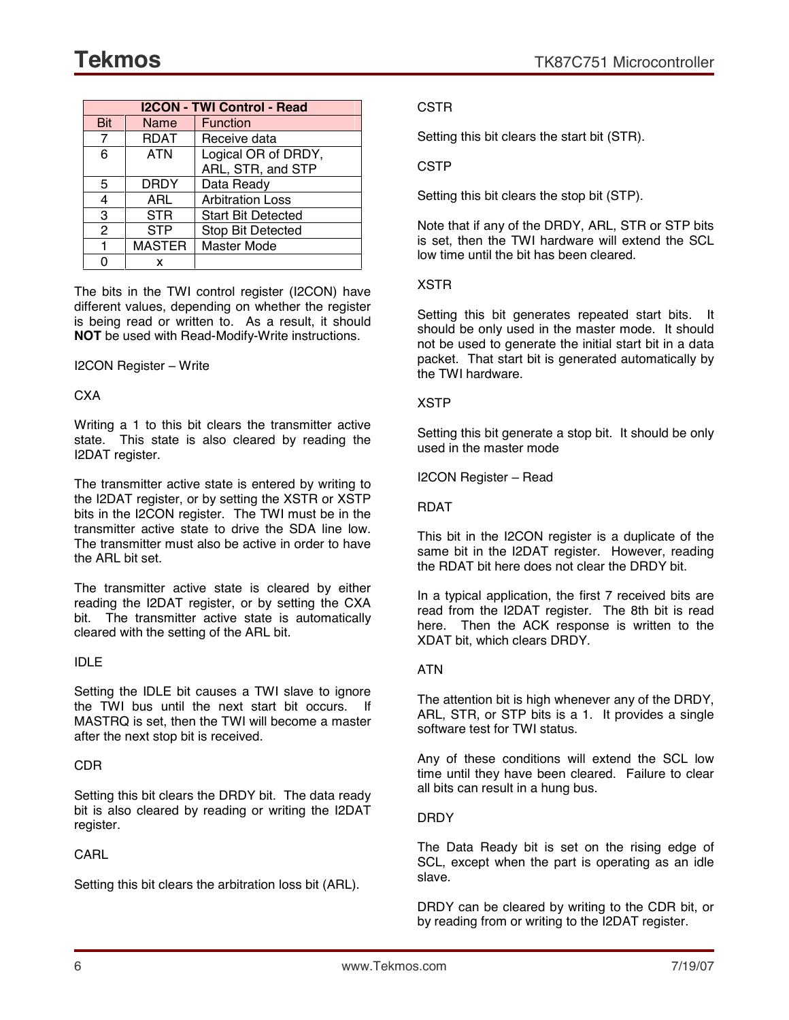| <b>I2CON - TWI Control - Read</b> |               |                           |  |
|-----------------------------------|---------------|---------------------------|--|
| Bit                               | Name          | <b>Function</b>           |  |
| 7                                 | <b>RDAT</b>   | Receive data              |  |
| 6                                 | <b>ATN</b>    | Logical OR of DRDY,       |  |
|                                   |               | ARL, STR, and STP         |  |
| 5                                 | DRDY          | Data Ready                |  |
| 4                                 | ARL           | <b>Arbitration Loss</b>   |  |
| 3                                 | <b>STR</b>    | <b>Start Bit Detected</b> |  |
| $\mathcal{P}$                     | STP           | Stop Bit Detected         |  |
| 1                                 | <b>MASTER</b> | <b>Master Mode</b>        |  |
|                                   | x             |                           |  |

The bits in the TWI control register (I2CON) have different values, depending on whether the register is being read or written to. As a result, it should **NOT** be used with Read-Modify-Write instructions.

#### I2CON Register – Write

#### **CXA**

Writing a 1 to this bit clears the transmitter active state. This state is also cleared by reading the I2DAT register.

The transmitter active state is entered by writing to the I2DAT register, or by setting the XSTR or XSTP bits in the I2CON register. The TWI must be in the transmitter active state to drive the SDA line low. The transmitter must also be active in order to have the ARL bit set.

The transmitter active state is cleared by either reading the I2DAT register, or by setting the CXA bit. The transmitter active state is automatically cleared with the setting of the ARL bit.

#### IDLE

Setting the IDLE bit causes a TWI slave to ignore the TWI bus until the next start bit occurs. If MASTRQ is set, then the TWI will become a master after the next stop bit is received.

#### CDR

Setting this bit clears the DRDY bit. The data ready bit is also cleared by reading or writing the I2DAT register.

#### **CARL**

Setting this bit clears the arbitration loss bit (ARL).

#### **CSTR**

Setting this bit clears the start bit (STR).

#### CSTP

Setting this bit clears the stop bit (STP).

Note that if any of the DRDY, ARL, STR or STP bits is set, then the TWI hardware will extend the SCL low time until the bit has been cleared.

#### XSTR

Setting this bit generates repeated start bits. It should be only used in the master mode. It should not be used to generate the initial start bit in a data packet. That start bit is generated automatically by the TWI hardware.

#### XSTP

Setting this bit generate a stop bit. It should be only used in the master mode

I2CON Register - Read

#### **RDAT**

This bit in the I2CON register is a duplicate of the same bit in the I2DAT register. However, reading the RDAT bit here does not clear the DRDY bit.

In a typical application, the first 7 received bits are read from the I2DAT register. The 8th bit is read here. Then the ACK response is written to the XDAT bit, which clears DRDY.

#### ATN

The attention bit is high whenever any of the DRDY, ARL, STR, or STP bits is a 1. It provides a single software test for TWI status.

Any of these conditions will extend the SCL low time until they have been cleared. Failure to clear all bits can result in a hung bus.

#### DRDY

The Data Ready bit is set on the rising edge of SCL, except when the part is operating as an idle slave.

DRDY can be cleared by writing to the CDR bit, or by reading from or writing to the I2DAT register.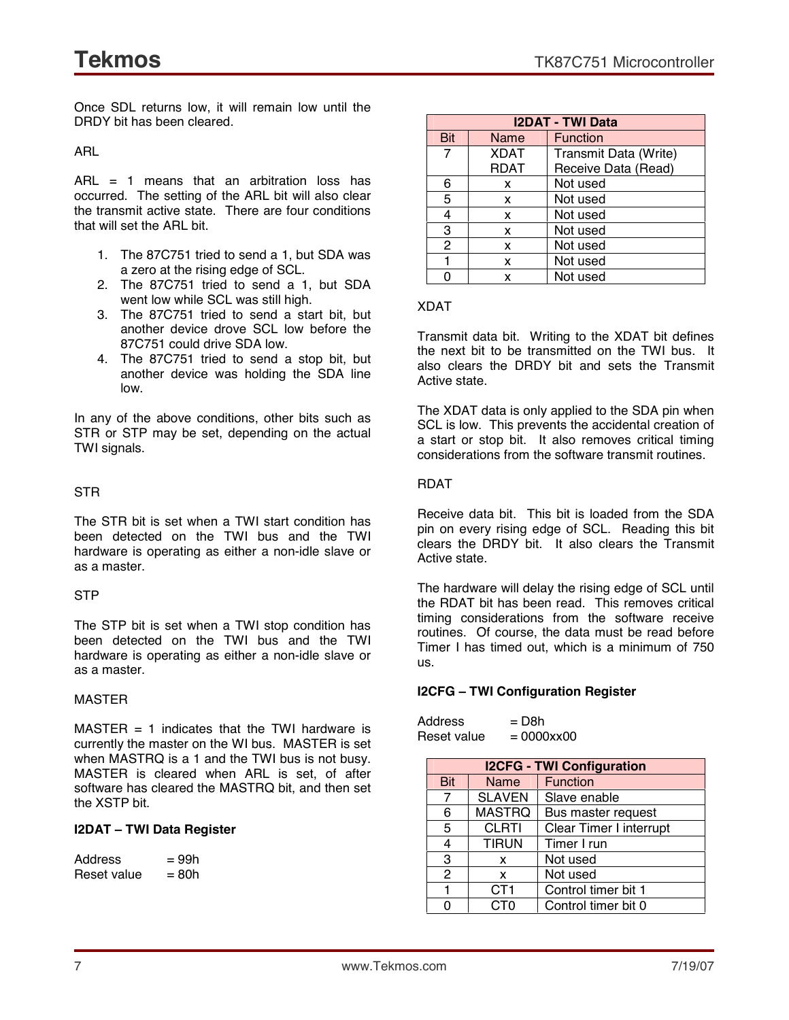Once SDL returns low, it will remain low until the DRDY bit has been cleared.

ARL

ARL = 1 means that an arbitration loss has occurred. The setting of the ARL bit will also clear the transmit active state. There are four conditions that will set the ARL bit.

- 1. The 87C751 tried to send a 1, but SDA was a zero at the rising edge of SCL.
- 2. The 87C751 tried to send a 1, but SDA went low while SCL was still high.
- 3. The 87C751 tried to send a start bit, but another device drove SCL low before the 87C751 could drive SDA low.
- 4. The 87C751 tried to send a stop bit, but another device was holding the SDA line low.

In any of the above conditions, other bits such as STR or STP may be set, depending on the actual TWI signals.

#### STR

The STR bit is set when a TWI start condition has been detected on the TWI bus and the TWI hardware is operating as either a non-idle slave or as a master.

#### **STP**

The STP bit is set when a TWI stop condition has been detected on the TWI bus and the TWI hardware is operating as either a non-idle slave or as a master.

#### MASTER

 $MASTER = 1$  indicates that the TWI hardware is currently the master on the WI bus. MASTER is set when MASTRQ is a 1 and the TWI bus is not busy. MASTER is cleared when ARL is set, of after software has cleared the MASTRQ bit, and then set the XSTP bit.

#### **I2DAT** - TWI Data Register

| Address     | $= 99h$ |
|-------------|---------|
| Reset value | = 80h   |

| <b>I2DAT - TWI Data</b> |             |                       |
|-------------------------|-------------|-----------------------|
| Bit                     | Name        | <b>Function</b>       |
| $\overline{7}$          | <b>XDAT</b> | Transmit Data (Write) |
|                         | RDAT        | Receive Data (Read)   |
| 6                       | x           | Not used              |
| 5                       | X           | Not used              |
| 4                       | x           | Not used              |
| 3                       | X           | Not used              |
| 2                       | x           | Not used              |
|                         | X           | Not used              |
|                         | x           | Not used              |

#### XDAT

Transmit data bit. Writing to the XDAT bit defines the next bit to be transmitted on the TWI bus. It also clears the DRDY bit and sets the Transmit Active state.

The XDAT data is only applied to the SDA pin when SCL is low. This prevents the accidental creation of a start or stop bit. It also removes critical timing considerations from the software transmit routines.

#### RDAT

Receive data bit. This bit is loaded from the SDA pin on every rising edge of SCL. Reading this bit clears the DRDY bit. It also clears the Transmit Active state.

The hardware will delay the rising edge of SCL until the RDAT bit has been read. This removes critical timing considerations from the software receive routines. Of course, the data must be read before Timer I has timed out, which is a minimum of 750 us.

#### **I2CFG ñ TWI Configuration Register**

| Address     | = D8h                  |
|-------------|------------------------|
| Reset value | $= 0000$ $x \times 00$ |

|            | <b>I2CFG - TWI Configuration</b> |                                |  |
|------------|----------------------------------|--------------------------------|--|
| <b>Bit</b> | <b>Name</b>                      | <b>Function</b>                |  |
| 7          | <b>SLAVEN</b>                    | Slave enable                   |  |
| 6          | <b>MASTRQ</b>                    | Bus master request             |  |
| 5          | <b>CLRTI</b>                     | <b>Clear Timer I interrupt</b> |  |
| 4          | <b>TIRUN</b>                     | Timer I run                    |  |
| 3          | x                                | Not used                       |  |
| 2          | X                                | Not used                       |  |
| 1          | CT <sub>1</sub>                  | Control timer bit 1            |  |
| n          | CT0                              | Control timer bit 0            |  |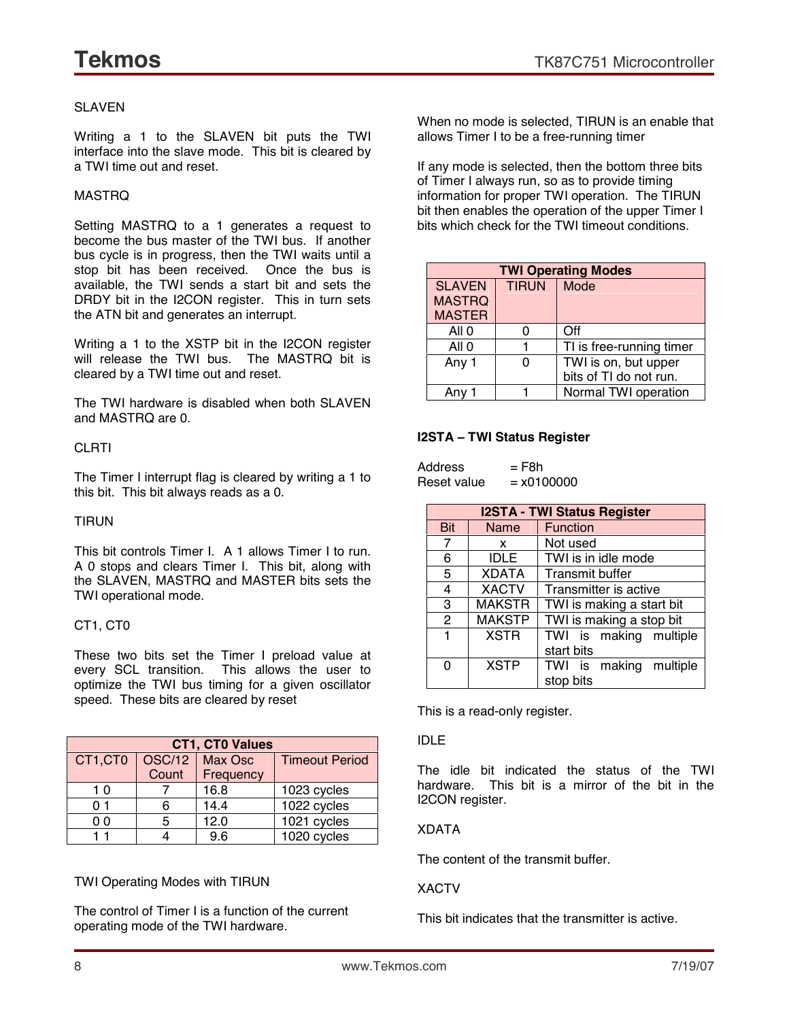#### SLAVEN

Writing a 1 to the SLAVEN bit puts the TWI interface into the slave mode. This bit is cleared by a TWI time out and reset.

#### MASTRQ

Setting MASTRQ to a 1 generates a request to become the bus master of the TWI bus. If another bus cycle is in progress, then the TWI waits until a stop bit has been received. Once the bus is available, the TWI sends a start bit and sets the DRDY bit in the I2CON register. This in turn sets the ATN bit and generates an interrupt.

Writing a 1 to the XSTP bit in the I2CON register will release the TWI bus. The MASTRQ bit is cleared by a TWI time out and reset.

The TWI hardware is disabled when both SLAVEN and MASTRQ are 0.

#### **CLRTI**

The Timer I interrupt flag is cleared by writing a 1 to this bit. This bit always reads as a 0.

#### TIRUN

This bit controls Timer I. A 1 allows Timer I to run. A 0 stops and clears Timer I. This bit, along with the SLAVEN, MASTRQ and MASTER bits sets the TWI operational mode.

#### CT1, CT0

These two bits set the Timer I preload value at every SCL transition. This allows the user to optimize the TWI bus timing for a given oscillator speed. These bits are cleared by reset

| <b>CT1, CT0 Values</b> |               |           |                       |
|------------------------|---------------|-----------|-----------------------|
| CT1,CT0                | <b>OSC/12</b> | Max Osc   | <b>Timeout Period</b> |
|                        | Count         | Frequency |                       |
| 10                     |               | 16.8      | 1023 cycles           |
| 01                     |               | 14.4      | 1022 cycles           |
| 00                     | 5             | 12.0      | 1021 cycles           |
|                        |               | 9.6       | 1020 cycles           |

TWI Operating Modes with TIRUN

The control of Timer I is a function of the current operating mode of the TWI hardware.

When no mode is selected, TIRUN is an enable that allows Timer I to be a free-running timer

If any mode is selected, then the bottom three bits of Timer I always run, so as to provide timing information for proper TWI operation. The TIRUN bit then enables the operation of the upper Timer I bits which check for the TWI timeout conditions.

|               | <b>TWI Operating Modes</b> |                          |  |  |
|---------------|----------------------------|--------------------------|--|--|
| <b>SLAVEN</b> | <b>TIRUN</b>               | Mode                     |  |  |
| <b>MASTRQ</b> |                            |                          |  |  |
| <b>MASTER</b> |                            |                          |  |  |
| All 0         |                            | Off                      |  |  |
| All 0         |                            | TI is free-running timer |  |  |
| Any 1         |                            | TWI is on, but upper     |  |  |
|               |                            | bits of TI do not run.   |  |  |
| Anv 1         |                            | Normal TWI operation     |  |  |

#### **I2STA ñ TWI Status Register**

| Address     | $=$ F8h      |
|-------------|--------------|
| Reset value | $= x0100000$ |

|               | <b>I2STA - TWI Status Register</b> |                           |  |
|---------------|------------------------------------|---------------------------|--|
| <b>Bit</b>    | Name                               | <b>Function</b>           |  |
| 7             | x                                  | Not used                  |  |
| 6             | <b>IDLE</b>                        | TWI is in idle mode       |  |
| 5             | <b>XDATA</b>                       | <b>Transmit buffer</b>    |  |
| 4             | <b>XACTV</b>                       | Transmitter is active     |  |
| 3             | <b>MAKSTR</b>                      | TWI is making a start bit |  |
| $\mathcal{P}$ | <b>MAKSTP</b>                      | TWI is making a stop bit  |  |
| 1             | <b>XSTR</b>                        | TWI is making multiple    |  |
|               |                                    | start bits                |  |
| ი             | <b>XSTP</b>                        | TWI is making multiple    |  |
|               |                                    | stop bits                 |  |

This is a read-only register.

#### IDLE

The idle bit indicated the status of the TWI hardware. This bit is a mirror of the bit in the I2CON register.

#### XDATA

The content of the transmit buffer.

XACTV

This bit indicates that the transmitter is active.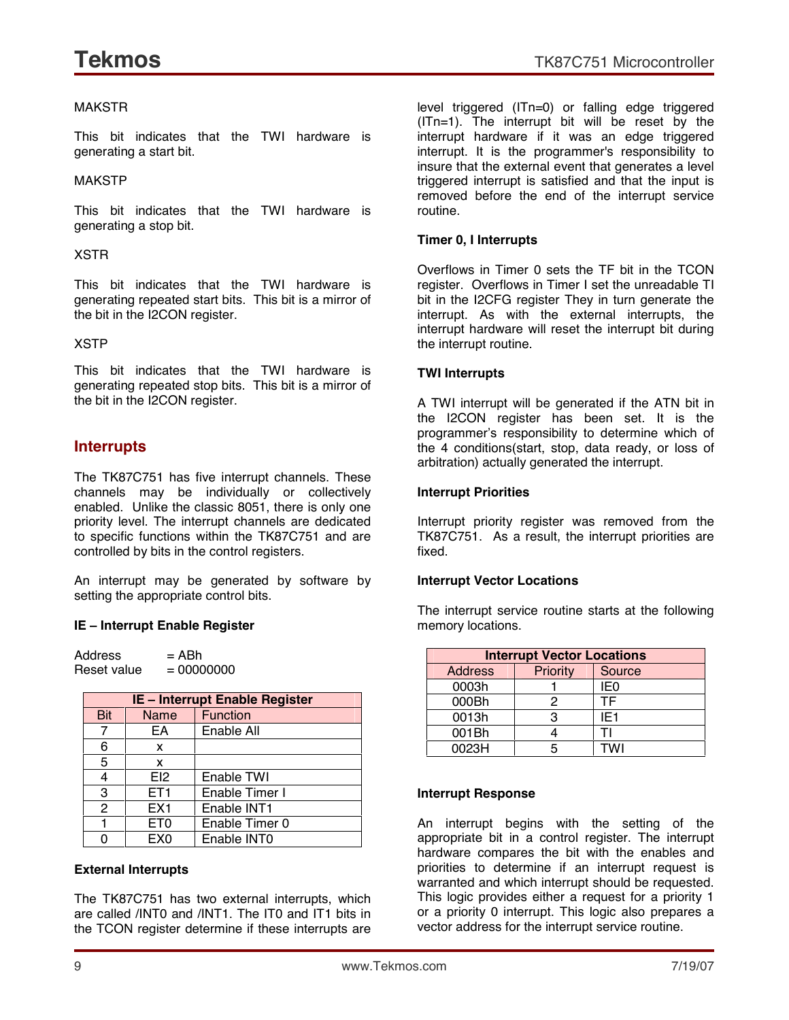#### MAKSTR

This bit indicates that the TWI hardware is generating a start bit.

#### MAKSTP

This bit indicates that the TWI hardware is generating a stop bit.

#### XSTR

This bit indicates that the TWI hardware is generating repeated start bits. This bit is a mirror of the bit in the I2CON register.

#### XSTP

This bit indicates that the TWI hardware is generating repeated stop bits. This bit is a mirror of the bit in the I2CON register.

#### **Interrupts**

The TK87C751 has five interrupt channels. These channels may be individually or collectively enabled. Unlike the classic 8051, there is only one priority level. The interrupt channels are dedicated to specific functions within the TK87C751 and are controlled by bits in the control registers.

An interrupt may be generated by software by setting the appropriate control bits.

#### **IE ñ Interrupt Enable Register**

 $Address = ABh$ Reset value  $= 00000000$ 

| <b>IE - Interrupt Enable Register</b> |                 |                 |
|---------------------------------------|-----------------|-----------------|
| Bit                                   | Name            | <b>Function</b> |
| 7                                     | FΑ              | Enable All      |
| 6                                     | x               |                 |
| 5                                     | X               |                 |
| 4                                     | F12             | Enable TWI      |
| 3                                     | ET <sub>1</sub> | Enable Timer I  |
| $\mathcal{P}$                         | EX <sub>1</sub> | Enable INT1     |
|                                       | ET <sub>0</sub> | Enable Timer 0  |
|                                       | EX <sub>0</sub> | Enable INTO     |

#### **External Interrupts**

The TK87C751 has two external interrupts, which are called /INT0 and /INT1. The IT0 and IT1 bits in the TCON register determine if these interrupts are level triggered (ITn=0) or falling edge triggered (ITn=1). The interrupt bit will be reset by the interrupt hardware if it was an edge triggered interrupt. It is the programmer's responsibility to insure that the external event that generates a level triggered interrupt is satisfied and that the input is removed before the end of the interrupt service routine.

#### **Timer 0, I Interrupts**

Overflows in Timer 0 sets the TF bit in the TCON register. Overflows in Timer I set the unreadable TI bit in the I2CFG register They in turn generate the interrupt. As with the external interrupts, the interrupt hardware will reset the interrupt bit during the interrupt routine.

#### **TWI Interrupts**

A TWI interrupt will be generated if the ATN bit in the I2CON register has been set. It is the programmerís responsibility to determine which of the 4 conditions(start, stop, data ready, or loss of arbitration) actually generated the interrupt.

#### **Interrupt Priorities**

Interrupt priority register was removed from the TK87C751. As a result, the interrupt priorities are fixed.

#### **Interrupt Vector Locations**

The interrupt service routine starts at the following memory locations.

| <b>Interrupt Vector Locations</b> |          |                 |  |
|-----------------------------------|----------|-----------------|--|
| <b>Address</b>                    | Priority | Source          |  |
| 0003h                             |          | IE0             |  |
| 000Bh                             | 2        | ΤF              |  |
| 0013h                             | з        | IE <sub>1</sub> |  |
| 001Bh                             |          |                 |  |
| 0023H                             | 5        | <b>TWI</b>      |  |

#### **Interrupt Response**

An interrupt begins with the setting of the appropriate bit in a control register. The interrupt hardware compares the bit with the enables and priorities to determine if an interrupt request is warranted and which interrupt should be requested. This logic provides either a request for a priority 1 or a priority 0 interrupt. This logic also prepares a vector address for the interrupt service routine.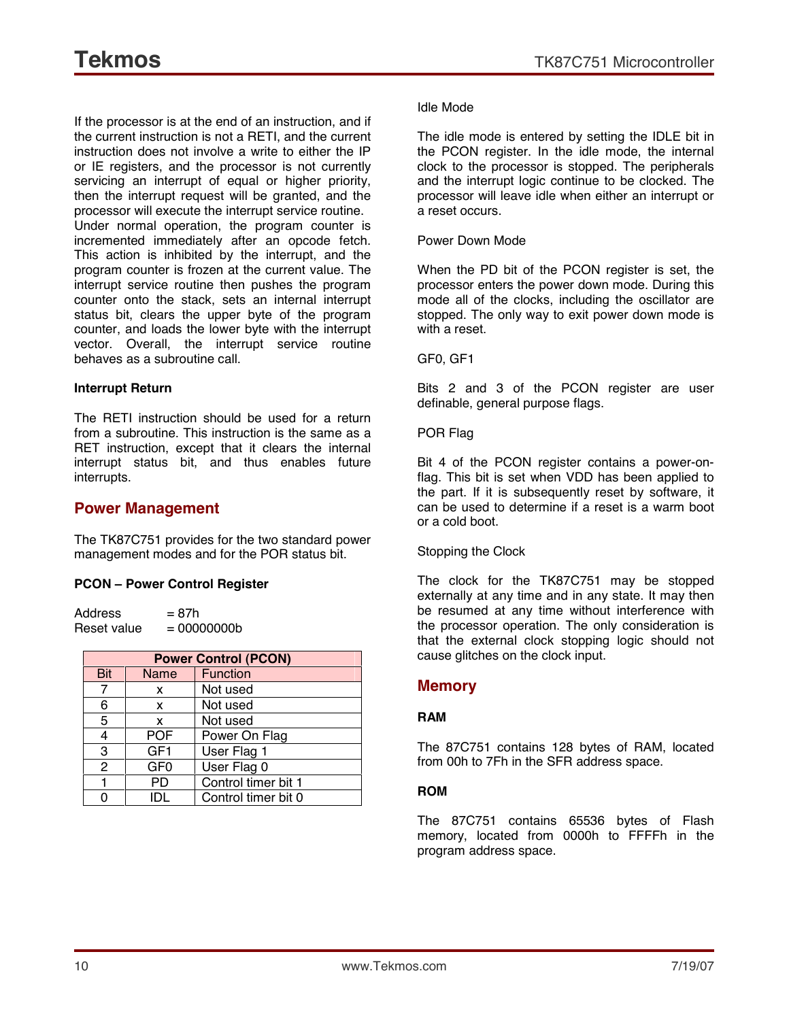If the processor is at the end of an instruction, and if the current instruction is not a RETI, and the current instruction does not involve a write to either the IP or IE registers, and the processor is not currently servicing an interrupt of equal or higher priority, then the interrupt request will be granted, and the processor will execute the interrupt service routine. Under normal operation, the program counter is incremented immediately after an opcode fetch. This action is inhibited by the interrupt, and the program counter is frozen at the current value. The interrupt service routine then pushes the program counter onto the stack, sets an internal interrupt status bit, clears the upper byte of the program counter, and loads the lower byte with the interrupt vector. Overall, the interrupt service routine behaves as a subroutine call.

#### **Interrupt Return**

The RETI instruction should be used for a return from a subroutine. This instruction is the same as a RET instruction, except that it clears the internal interrupt status bit, and thus enables future interrupts.

#### **Power Management**

The TK87C751 provides for the two standard power management modes and for the POR status bit.

#### **PCON ñ Power Control Register**

 $Address = 87h$ Reset value  $= 00000000$ 

| <b>Power Control (PCON)</b> |                 |                     |
|-----------------------------|-----------------|---------------------|
| <b>Bit</b>                  | Name            | <b>Function</b>     |
| 7                           | x               | Not used            |
| 6                           | x               | Not used            |
| 5                           | X               | Not used            |
| 4                           | <b>POF</b>      | Power On Flag       |
| 3                           | GF <sub>1</sub> | User Flag 1         |
| $\overline{2}$              | GF <sub>0</sub> | User Flag 0         |
|                             | PD              | Control timer bit 1 |
|                             | IDI             | Control timer bit 0 |

#### Idle Mode

The idle mode is entered by setting the IDLE bit in the PCON register. In the idle mode, the internal clock to the processor is stopped. The peripherals and the interrupt logic continue to be clocked. The processor will leave idle when either an interrupt or a reset occurs.

#### Power Down Mode

When the PD bit of the PCON register is set, the processor enters the power down mode. During this mode all of the clocks, including the oscillator are stopped. The only way to exit power down mode is with a reset.

#### GF0, GF1

Bits 2 and 3 of the PCON register are user definable, general purpose flags.

#### POR Flag

Bit 4 of the PCON register contains a power-onflag. This bit is set when VDD has been applied to the part. If it is subsequently reset by software, it can be used to determine if a reset is a warm boot or a cold boot.

#### Stopping the Clock

The clock for the TK87C751 may be stopped externally at any time and in any state. It may then be resumed at any time without interference with the processor operation. The only consideration is that the external clock stopping logic should not cause glitches on the clock input.

#### **Memory**

#### **RAM**

The 87C751 contains 128 bytes of RAM, located from 00h to 7Fh in the SFR address space.

#### **ROM**

The 87C751 contains 65536 bytes of Flash memory, located from 0000h to FFFFh in the program address space.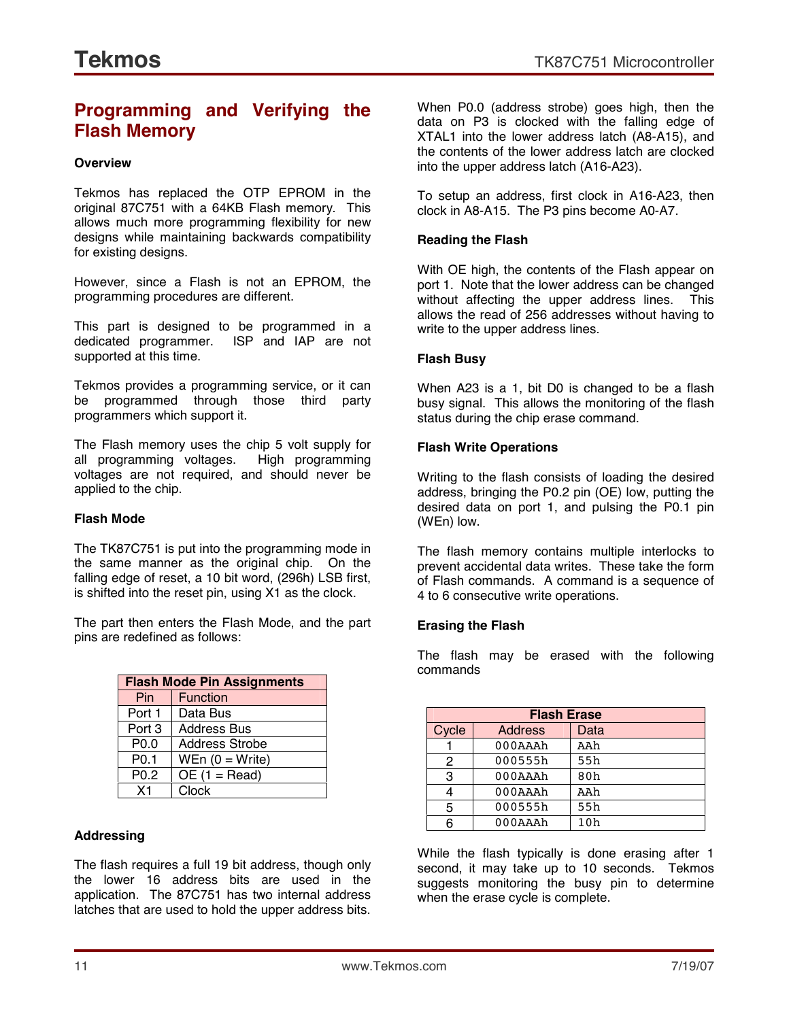## **Programming and Verifying the Flash Memory**

#### **Overview**

Tekmos has replaced the OTP EPROM in the original 87C751 with a 64KB Flash memory. This allows much more programming flexibility for new designs while maintaining backwards compatibility for existing designs.

However, since a Flash is not an EPROM, the programming procedures are different.

This part is designed to be programmed in a dedicated programmer. ISP and IAP are not supported at this time.

Tekmos provides a programming service, or it can be programmed through those third party programmers which support it.

The Flash memory uses the chip 5 volt supply for all programming voltages. High programming voltages are not required, and should never be applied to the chip.

#### **Flash Mode**

The TK87C751 is put into the programming mode in the same manner as the original chip. On the falling edge of reset, a 10 bit word, (296h) LSB first, is shifted into the reset pin, using X1 as the clock.

The part then enters the Flash Mode, and the part pins are redefined as follows:

| <b>Flash Mode Pin Assignments</b> |                    |  |
|-----------------------------------|--------------------|--|
| Pin                               | <b>Function</b>    |  |
| Port 1                            | Data Bus           |  |
| Port 3                            | <b>Address Bus</b> |  |
| P <sub>0.0</sub>                  | Address Strobe     |  |
| P <sub>0.1</sub>                  | WEn $(0 = Write)$  |  |
| P <sub>0.2</sub>                  | $OE(1 = Read)$     |  |
| X <sub>1</sub>                    | Clock              |  |

#### **Addressing**

The flash requires a full 19 bit address, though only the lower 16 address bits are used in the application. The 87C751 has two internal address latches that are used to hold the upper address bits. When P0.0 (address strobe) goes high, then the data on P3 is clocked with the falling edge of XTAL1 into the lower address latch (A8-A15), and the contents of the lower address latch are clocked into the upper address latch (A16-A23).

To setup an address, first clock in A16-A23, then clock in A8-A15. The P3 pins become A0-A7.

#### **Reading the Flash**

With OE high, the contents of the Flash appear on port 1. Note that the lower address can be changed without affecting the upper address lines. This allows the read of 256 addresses without having to write to the upper address lines.

#### **Flash Busy**

When A23 is a 1, bit D0 is changed to be a flash busy signal. This allows the monitoring of the flash status during the chip erase command.

#### **Flash Write Operations**

Writing to the flash consists of loading the desired address, bringing the P0.2 pin (OE) low, putting the desired data on port 1, and pulsing the P0.1 pin (WEn) low.

The flash memory contains multiple interlocks to prevent accidental data writes. These take the form of Flash commands. A command is a sequence of 4 to 6 consecutive write operations.

#### **Erasing the Flash**

The flash may be erased with the following commands

|       | <b>Flash Erase</b> |      |  |
|-------|--------------------|------|--|
| Cycle | Address            | Data |  |
|       | 000AAA             | AAh  |  |
| 2     | 000555h            | 55h  |  |
| 3     | 000AAA             | 80h  |  |
| 4     | 000AAAh            | AAh  |  |
| 5     | 000555h            | 55h  |  |
| 6     | 000AAA             | 10h  |  |

While the flash typically is done erasing after 1 second, it may take up to 10 seconds. Tekmos suggests monitoring the busy pin to determine when the erase cycle is complete.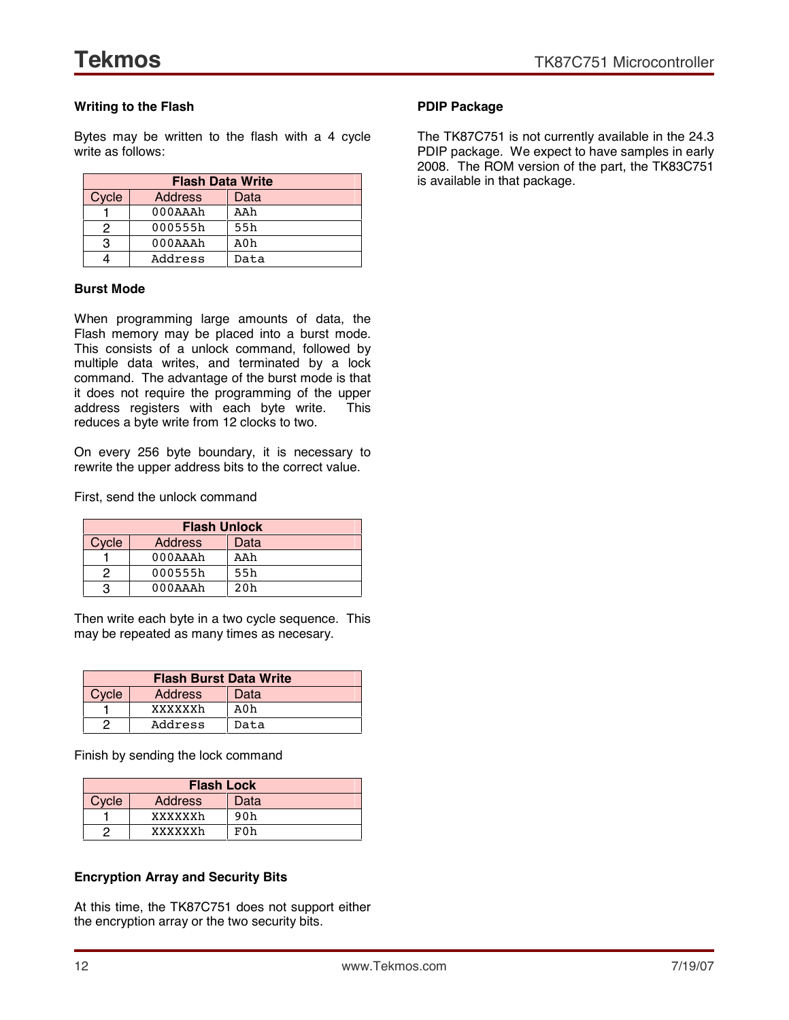#### **Writing to the Flash**

Bytes may be written to the flash with a 4 cycle write as follows:

| <b>Flash Data Write</b> |                |      |  |
|-------------------------|----------------|------|--|
| Cycle                   | <b>Address</b> | Data |  |
|                         | $000A$ A $A$ h | AAh  |  |
| 2                       | 000555h        | 55h  |  |
| 3                       | $000A$ A $h$   | A0h  |  |
|                         | Address        | Data |  |

#### **Burst Mode**

When programming large amounts of data, the Flash memory may be placed into a burst mode. This consists of a unlock command, followed by multiple data writes, and terminated by a lock command. The advantage of the burst mode is that it does not require the programming of the upper address registers with each byte write. This reduces a byte write from 12 clocks to two.

On every 256 byte boundary, it is necessary to rewrite the upper address bits to the correct value.

First, send the unlock command

| <b>Flash Unlock</b> |                    |      |  |
|---------------------|--------------------|------|--|
| Cycle               | Address            | Data |  |
|                     | $000A$ $A$ $A$ $h$ | AAh  |  |
| っ                   | 000555h            | 55h  |  |
| з                   | $000A$ $A$ $A$ $h$ | 20h  |  |

Then write each byte in a two cycle sequence. This may be repeated as many times as necesary.

| <b>Flash Burst Data Write</b> |         |      |  |
|-------------------------------|---------|------|--|
| Cycle                         | Address | Data |  |
|                               | xxxxxxh | A0h  |  |
| 2                             | Address | Data |  |

Finish by sending the lock command

| <b>Flash Lock</b> |         |      |  |  |
|-------------------|---------|------|--|--|
| Cycle             | Address | Data |  |  |
|                   | xxxxxxh | 90h  |  |  |
|                   | xxxxxxh | F0h  |  |  |

#### **Encryption Array and Security Bits**

At this time, the TK87C751 does not support either the encryption array or the two security bits.

#### **PDIP Package**

The TK87C751 is not currently available in the 24.3 PDIP package. We expect to have samples in early 2008. The ROM version of the part, the TK83C751 is available in that package.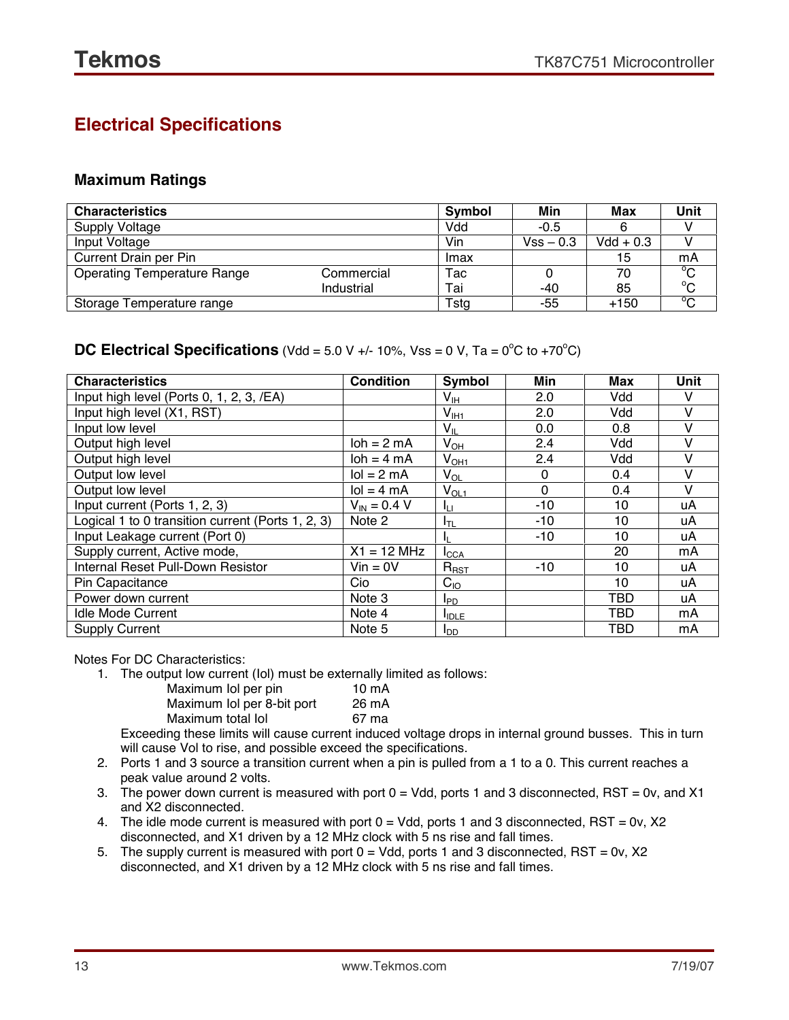## **Electrical Specifications**

#### **Maximum Ratings**

| <b>Characteristics</b>             |            | Symbol | Min         | Max         | Unit           |
|------------------------------------|------------|--------|-------------|-------------|----------------|
| <b>Supply Voltage</b>              |            | Vdd    | $-0.5$      |             |                |
| Input Voltage                      |            | Vin    | $Vss - 0.3$ | $Vdd + 0.3$ |                |
| Current Drain per Pin              |            | Imax   |             | 15          | mA             |
| <b>Operating Temperature Range</b> | Commercial | Tac    |             | 70          | $^{\circ}$ C   |
|                                    | Industrial | Tai    | -40         | 85          | $^{\circ}$ C   |
| Storage Temperature range          |            | Tstg   | -55         | $+150$      | $\overline{C}$ |

#### **DC Electrical Specifications** (Vdd = 5.0 V +/- 10%, Vss = 0 V, Ta = 0<sup>o</sup>C to +70<sup>o</sup>C)

| <b>Characteristics</b>                            | <b>Condition</b>               | Symbol                     | Min      | Max | <b>Unit</b> |
|---------------------------------------------------|--------------------------------|----------------------------|----------|-----|-------------|
| Input high level (Ports 0, 1, 2, 3, /EA)          |                                | V <sub>IH</sub>            | 2.0      | Vdd |             |
| Input high level (X1, RST)                        |                                | $V_{I H1}$                 | 2.0      | Vdd |             |
| Input low level                                   |                                | $V_{IL}$                   | 0.0      | 0.8 |             |
| Output high level                                 | $\mathsf{loh} = 2 \mathsf{mA}$ | $V_{OH}$                   | 2.4      | Vdd |             |
| Output high level                                 | $\mathsf{loh} = 4 \mathsf{mA}$ | V <sub>OH1</sub>           | 2.4      | Vdd |             |
| Output low level                                  | $\text{Io} = 2 \text{ mA}$     | $\mathsf{V}_{\mathsf{OL}}$ | 0        | 0.4 |             |
| Output low level                                  | $\text{Io} = 4 \text{ mA}$     | $V_{OL1}$                  | $\Omega$ | 0.4 |             |
| Input current (Ports 1, 2, 3)                     | $V_{IN} = 0.4 V$               | Īц                         | $-10$    | 10  | uA          |
| Logical 1 to 0 transition current (Ports 1, 2, 3) | Note 2                         | IτL                        | $-10$    | 10  | uA          |
| Input Leakage current (Port 0)                    |                                | IL.                        | $-10$    | 10  | uA          |
| Supply current, Active mode,                      | $X1 = 12 MHz$                  | <b>I</b> CCA               |          | 20  | mA          |
| Internal Reset Pull-Down Resistor                 | $V$ in = 0 $V$                 | $R_{RST}$                  | $-10$    | 10  | uA          |
| Pin Capacitance                                   | Cio                            | $C_{10}$                   |          | 10  | uA          |
| Power down current                                | Note 3                         | <b>I</b> PD                |          | TBD | uA          |
| <b>Idle Mode Current</b>                          | Note 4                         | <b>I</b> IDLE              |          | TBD | mA          |
| <b>Supply Current</b>                             | Note 5                         | <b>I</b> <sub>DD</sub>     |          | TBD | mA          |

Notes For DC Characteristics:

1. The output low current (Iol) must be externally limited as follows:

| Maximum lol per pin        | $10m$ A |
|----------------------------|---------|
| Maximum Iol per 8-bit port | 26 mA   |
| Maximum total lol          | 67 ma   |

Exceeding these limits will cause current induced voltage drops in internal ground busses. This in turn will cause Vol to rise, and possible exceed the specifications.

- 2. Ports 1 and 3 source a transition current when a pin is pulled from a 1 to a 0. This current reaches a peak value around 2 volts.
- 3. The power down current is measured with port  $0 = Vdd$ , ports 1 and 3 disconnected, RST = 0v, and X1 and X2 disconnected.
- 4. The idle mode current is measured with port  $0 = V$ dd, ports 1 and 3 disconnected, RST = 0v, X2 disconnected, and X1 driven by a 12 MHz clock with 5 ns rise and fall times.
- 5. The supply current is measured with port  $0 = Vdd$ , ports 1 and 3 disconnected, RST = 0v, X2 disconnected, and X1 driven by a 12 MHz clock with 5 ns rise and fall times.